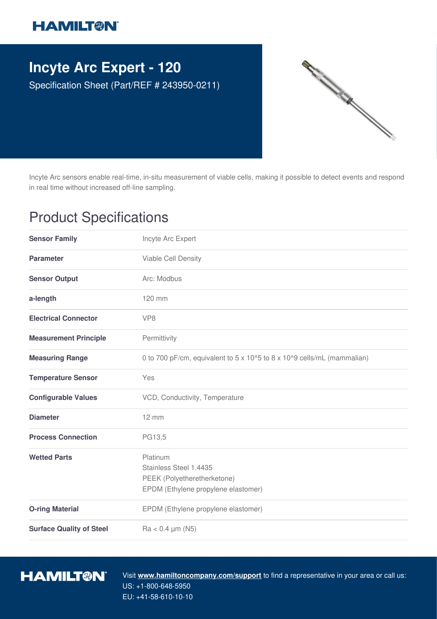## **HAMILT®N**

## **Incyte Arc Expert - 120**

Specification Sheet (Part/REF # 243950-0211)



Incyte Arc sensors enable real-time, in-situ measurement of viable cells, making it possible to detect events and respond in real time without increased off-line sampling.

## Product Specifications

| <b>Sensor Family</b>            | Incyte Arc Expert                                                                                        |
|---------------------------------|----------------------------------------------------------------------------------------------------------|
| <b>Parameter</b>                | Viable Cell Density                                                                                      |
| <b>Sensor Output</b>            | Arc: Modbus                                                                                              |
| a-length                        | 120 mm                                                                                                   |
| <b>Electrical Connector</b>     | VP <sub>8</sub>                                                                                          |
| <b>Measurement Principle</b>    | Permittivity                                                                                             |
| <b>Measuring Range</b>          | 0 to 700 pF/cm, equivalent to 5 x 10^5 to 8 x 10^9 cells/mL (mammalian)                                  |
| <b>Temperature Sensor</b>       | Yes                                                                                                      |
| <b>Configurable Values</b>      | VCD, Conductivity, Temperature                                                                           |
| <b>Diameter</b>                 | $12 \, \text{mm}$                                                                                        |
| <b>Process Connection</b>       | PG13,5                                                                                                   |
| <b>Wetted Parts</b>             | Platinum<br>Stainless Steel 1.4435<br>PEEK (Polyetheretherketone)<br>EPDM (Ethylene propylene elastomer) |
| <b>O-ring Material</b>          | EPDM (Ethylene propylene elastomer)                                                                      |
| <b>Surface Quality of Steel</b> | $Ra < 0.4 \mu m (N5)$                                                                                    |



Visit **www.hamiltoncompany.com/support** to find a representative in your area or call us: US: +1-800-648-5950 EU: +41-58-610-10-10